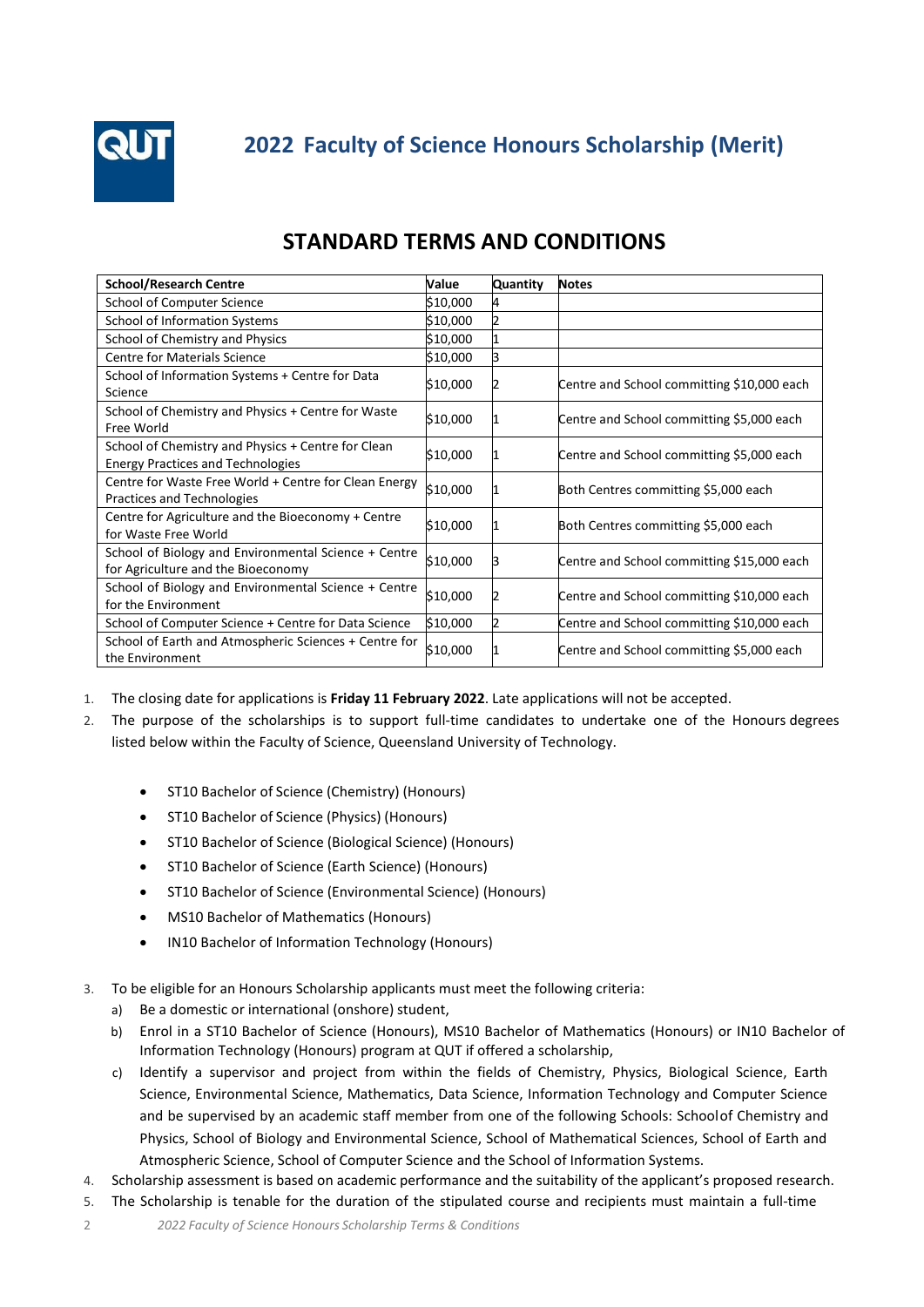

## **STANDARD TERMS AND CONDITIONS**

| <b>School/Research Centre</b>                                                                  | Value    | Quantity | <b>Notes</b>                               |
|------------------------------------------------------------------------------------------------|----------|----------|--------------------------------------------|
| School of Computer Science                                                                     | \$10,000 |          |                                            |
| School of Information Systems                                                                  | \$10,000 |          |                                            |
| School of Chemistry and Physics                                                                | \$10,000 |          |                                            |
| <b>Centre for Materials Science</b>                                                            | \$10,000 |          |                                            |
| School of Information Systems + Centre for Data<br>Science                                     | \$10,000 |          | Centre and School committing \$10,000 each |
| School of Chemistry and Physics + Centre for Waste<br>Free World                               | \$10,000 |          | Centre and School committing \$5,000 each  |
| School of Chemistry and Physics + Centre for Clean<br><b>Energy Practices and Technologies</b> | \$10,000 |          | Centre and School committing \$5,000 each  |
| Centre for Waste Free World + Centre for Clean Energy<br>Practices and Technologies            | \$10,000 |          | Both Centres committing \$5,000 each       |
| Centre for Agriculture and the Bioeconomy + Centre<br>for Waste Free World                     | \$10,000 |          | Both Centres committing \$5,000 each       |
| School of Biology and Environmental Science + Centre<br>for Agriculture and the Bioeconomy     | \$10,000 |          | Centre and School committing \$15,000 each |
| School of Biology and Environmental Science + Centre<br>for the Environment                    | \$10,000 |          | Centre and School committing \$10,000 each |
| School of Computer Science + Centre for Data Science                                           | \$10,000 |          | Centre and School committing \$10,000 each |
| School of Earth and Atmospheric Sciences + Centre for<br>the Environment                       | \$10,000 |          | Centre and School committing \$5,000 each  |

- 1. The closing date for applications is **Friday 11 February 2022**. Late applications will not be accepted.
- 2. The purpose of the scholarships is to support full-time candidates to undertake one of the Honours degrees listed below within the Faculty of Science, Queensland University of Technology.
	- ST10 Bachelor of Science (Chemistry) (Honours)
	- ST10 Bachelor of Science (Physics) (Honours)
	- ST10 Bachelor of Science (Biological Science) (Honours)
	- ST10 Bachelor of Science (Earth Science) (Honours)
	- ST10 Bachelor of Science (Environmental Science) (Honours)
	- MS10 Bachelor of Mathematics (Honours)
	- IN10 Bachelor of Information Technology (Honours)
- 3. To be eligible for an Honours Scholarship applicants must meet the following criteria:
	- a) Be a domestic or international (onshore) student,
	- b) Enrol in a ST10 Bachelor of Science (Honours), MS10 Bachelor of Mathematics (Honours) or IN10 Bachelor of Information Technology (Honours) program at QUT if offered a scholarship,
	- c) Identify a supervisor and project from within the fields of Chemistry, Physics, Biological Science, Earth Science, Environmental Science, Mathematics, Data Science, Information Technology and Computer Science and be supervised by an academic staff member from one of the following Schools: School of Chemistry and Physics, School of Biology and Environmental Science, School of Mathematical Sciences, School of Earth and Atmospheric Science, School of Computer Science and the School of Information Systems.
- 4. Scholarship assessment is based on academic performance and the suitability of the applicant's proposed research.
- 5. The Scholarship is tenable for the duration of the stipulated course and recipients must maintain a full-time